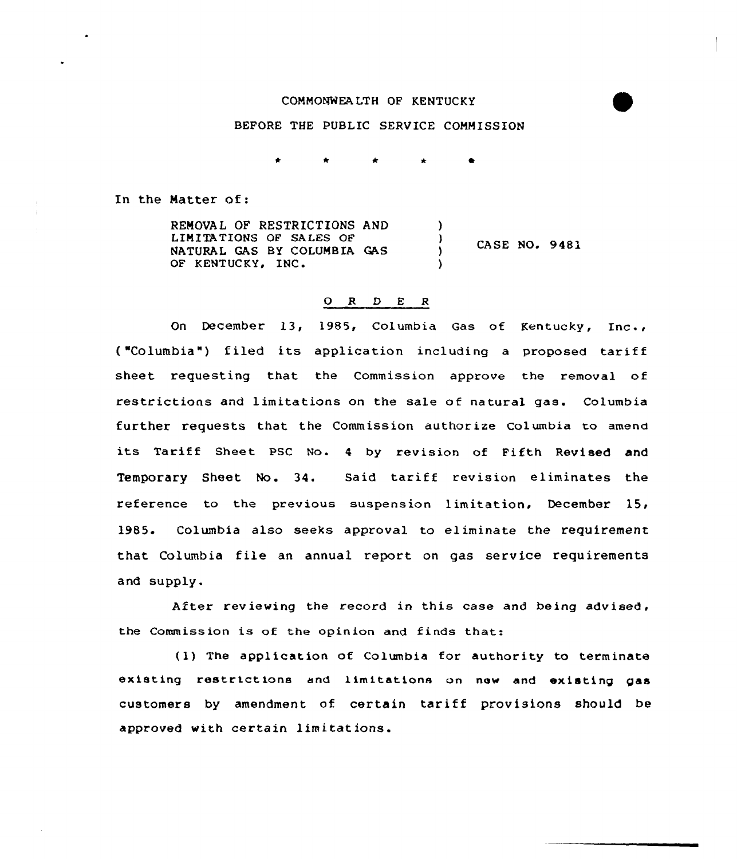## COMMONWEALTH OF KENTUCKY

## BEFORE THE PUBLIC SERVICE COMMISSION

In the Matter of:

REMOVAL OF RESTRICTIONS AND LIMITATIONS OF SALES OF NATURAL GAS BY COLUMBIA CAS OF KENTUCKY, INC. )  $\left\{\right\}$  CASE NO. 9481 )

## 0 <sup>R</sup> <sup>D</sup> <sup>E</sup> <sup>R</sup>

On December 13, 1985, Columbia Gas of Kentucky, Inc., ("Columbia") filed its application including a proposed tariff sheet requesting that the Commission approve the removal of restrictions and limitations on the sale of natural gas. Columbia further requests that the Commission authorize Columbia to amend its Tariff Sheet PSC No. 4 by revision of Fifth Revised and Temporary Sheet No. 34. Said tariff revision eliminates the reference to the previous suspension limitation, December 15, 1985. Columbia also seeks approval to eliminate the requirement that Columbia file an annual report on gas service requirements and supply.

After reviewing the record in this case and being advised, the Commission is of the opinion and finds that:

(1) The application of Columbia for authority to terminate existing restrictions and limitations on new and existing gas customers by amendment of certain tariff provisions should be approved with certain limitations.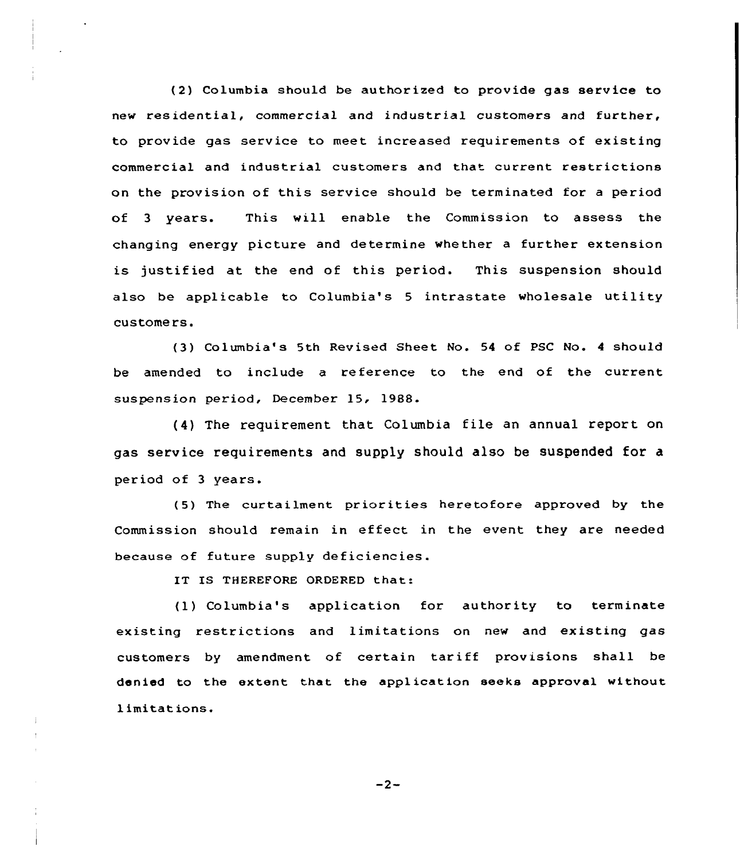(2) Columbia should be authorized to provide gas service to new residential, commercial and industrial customers and further, to provide gas service to meet increased requirements of existing commercial and industrial customers and that current restrictions on the provision of this service should be terminated for a period of <sup>3</sup> years. This will enable the Commission to assess the changing energy picture and determine whether a further extension is justif ied at the end of this period. This suspension should also be applicable to Columbia's <sup>5</sup> intrastate wholesale utility customers.

(3) Columbia's 5th Revised Sheet No. <sup>54</sup> of PSC No. <sup>4</sup> should be amended to include a reference to the end of the current suspension period, December 15, 19BS.

(4} The requirement that Columbia file an annual report on gas service requirements and supply should also be suspended for a period of 3 years.

(5) The curtailment priorities heretofore approved by the Commission should remain in effeet in the event they are needed because of future supply deficiencies.

IT IS THEREFORE ORDERED that:

(1) Columbia's application for authority to terminate existing restrictions and limitations on new and existing gas customers by amendment of certain tariff provisions shall be denied to the extent that the application seeks approval without limitations.

 $-2-$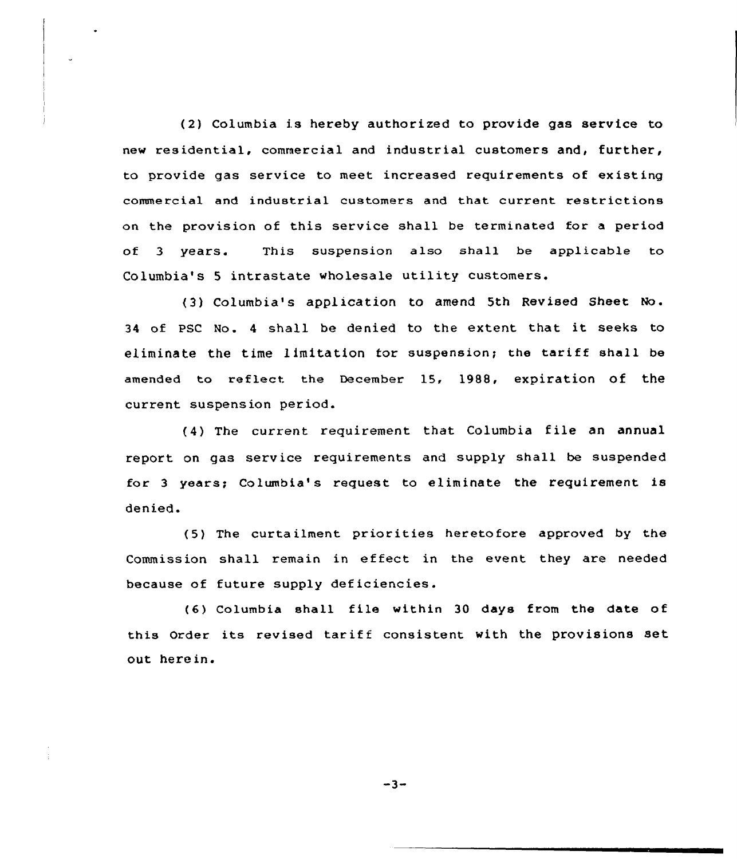(2) Columbia is hereby authorized to provide gas service to new residential, commercial and industrial customers and, further, to provide gas service to meet increased requirements of existing commercial and industrial customers and that current restrictions on the provision of this service shall be terminated for a period of 3 years. This suspension also shall be applicable to Columbia's <sup>5</sup> intrastate wholesale utility customers.

(3) Columbia's application to amend 5th Revised Sheet No. <sup>34</sup> of PSC No. <sup>4</sup> shall be denied to the extent that it seeks to eliminate the time limitation for suspension; the tariff shall be amended to reflect the December 15, 1988, expiration of the current suspension period.

(4) The current requirement that Columbia file an annual report on gas service requirements and supply shall be suspended for 3 years; Columbia's request to eliminate the requirement is denied.

(5) The cuxta ilment priorities heretofore approved by the Commission shall remain in effect in the event they are needed because of future supply deficiencies.

(6) Columbia shall file within <sup>30</sup> days from the date of this Order its revised tariff consistent with the provisions set out here in.

 $-3-$